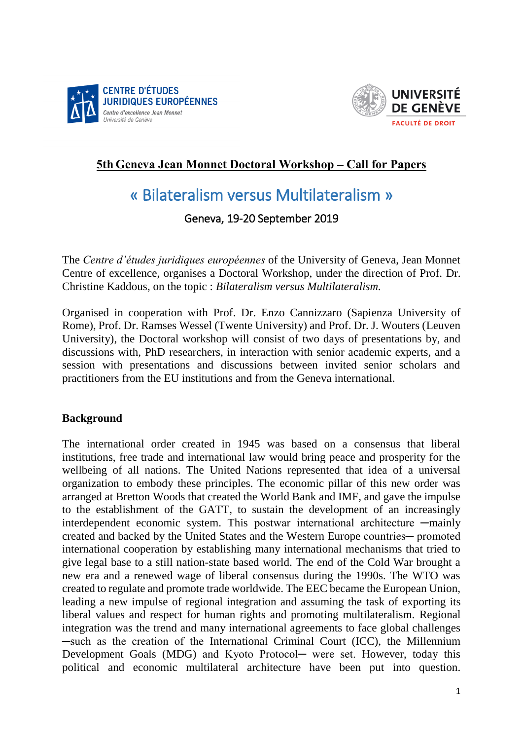



## **5th Geneva Jean Monnet Doctoral Workshop – Call for Papers**

# « Bilateralism versus Multilateralism »

### Geneva, 19-20 September 2019

The *Centre d'études juridiques européennes* of the University of Geneva, Jean Monnet Centre of excellence, organises a Doctoral Workshop, under the direction of Prof. Dr. Christine Kaddous, on the topic : *Bilateralism versus Multilateralism.* 

Organised in cooperation with Prof. Dr. Enzo Cannizzaro (Sapienza University of Rome), Prof. Dr. Ramses Wessel (Twente University) and Prof. Dr. J. Wouters (Leuven University), the Doctoral workshop will consist of two days of presentations by, and discussions with, PhD researchers, in interaction with senior academic experts, and a session with presentations and discussions between invited senior scholars and practitioners from the EU institutions and from the Geneva international.

#### **Background**

The international order created in 1945 was based on a consensus that liberal institutions, free trade and international law would bring peace and prosperity for the wellbeing of all nations. The United Nations represented that idea of a universal organization to embody these principles. The economic pillar of this new order was arranged at Bretton Woods that created the World Bank and IMF, and gave the impulse to the establishment of the GATT, to sustain the development of an increasingly interdependent economic system. This postwar international architecture —mainly created and backed by the United States and the Western Europe countries─ promoted international cooperation by establishing many international mechanisms that tried to give legal base to a still nation-state based world. The end of the Cold War brought a new era and a renewed wage of liberal consensus during the 1990s. The WTO was created to regulate and promote trade worldwide. The EEC became the European Union, leading a new impulse of regional integration and assuming the task of exporting its liberal values and respect for human rights and promoting multilateralism. Regional integration was the trend and many international agreements to face global challenges ─such as the creation of the International Criminal Court (ICC), the Millennium Development Goals (MDG) and Kyoto Protocol— were set. However, today this political and economic multilateral architecture have been put into question.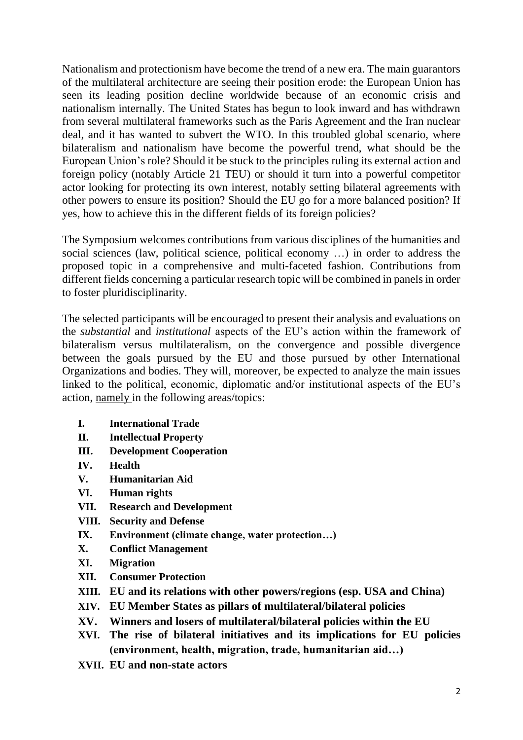Nationalism and protectionism have become the trend of a new era. The main guarantors of the multilateral architecture are seeing their position erode: the European Union has seen its leading position decline worldwide because of an economic crisis and nationalism internally. The United States has begun to look inward and has withdrawn from several multilateral frameworks such as the Paris Agreement and the Iran nuclear deal, and it has wanted to subvert the WTO. In this troubled global scenario, where bilateralism and nationalism have become the powerful trend, what should be the European Union's role? Should it be stuck to the principles ruling its external action and foreign policy (notably Article 21 TEU) or should it turn into a powerful competitor actor looking for protecting its own interest, notably setting bilateral agreements with other powers to ensure its position? Should the EU go for a more balanced position? If yes, how to achieve this in the different fields of its foreign policies?

The Symposium welcomes contributions from various disciplines of the humanities and social sciences (law, political science, political economy …) in order to address the proposed topic in a comprehensive and multi-faceted fashion. Contributions from different fields concerning a particular research topic will be combined in panels in order to foster pluridisciplinarity.

The selected participants will be encouraged to present their analysis and evaluations on the *substantial* and *institutional* aspects of the EU's action within the framework of bilateralism versus multilateralism, on the convergence and possible divergence between the goals pursued by the EU and those pursued by other International Organizations and bodies. They will, moreover, be expected to analyze the main issues linked to the political, economic, diplomatic and/or institutional aspects of the EU's action, namely in the following areas/topics:

- **I. International Trade**
- **II. Intellectual Property**
- **III. Development Cooperation**
- **IV. Health**
- **V. Humanitarian Aid**
- **VI. Human rights**
- **VII. Research and Development**
- **VIII. Security and Defense**
- **IX. Environment (climate change, water protection…)**
- **X. Conflict Management**
- **XI. Migration**
- **XII. Consumer Protection**
- **XIII. EU and its relations with other powers/regions (esp. USA and China)**
- **XIV. EU Member States as pillars of multilateral/bilateral policies**
- **XV. Winners and losers of multilateral/bilateral policies within the EU**
- **XVI. The rise of bilateral initiatives and its implications for EU policies (environment, health, migration, trade, humanitarian aid…)**
- **XVII. EU and non-state actors**